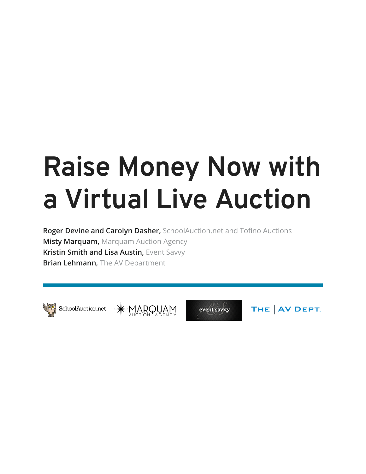# **Raise Money Now with a Virtual Live Auction**

**Roger Devine and Carolyn Dasher,** SchoolAuction.net and Tofino Auctions **Misty Marquam,** Marquam Auction Agency **Kristin Smith and Lisa Austin,** Event Savvy **Brian Lehmann,** The AV Department



SchoolAuction.net \* MARQUAM





THE | AV DEPT.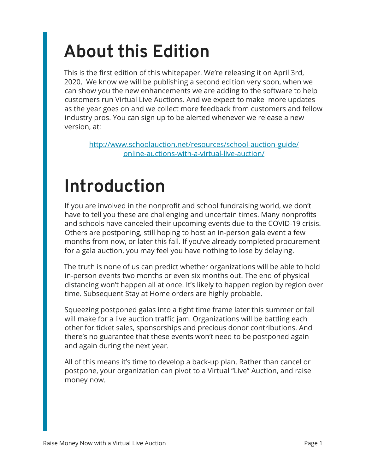## **About this Edition**

This is the first edition of this whitepaper. We're releasing it on April 3rd, 2020. We know we will be publishing a second edition very soon, when we can show you the new enhancements we are adding to the software to help customers run Virtual Live Auctions. And we expect to make more updates as the year goes on and we collect more feedback from customers and fellow industry pros. You can sign up to be alerted whenever we release a new version, at:

[http://www.schoolauction.net/resources/school-auction-guide/](https://www.schoolauction.net/resources/school-auction-guide/online-auctions-with-a-virtual-live-auction/) [online-auctions-with-a-virtual-live-auction/](https://www.schoolauction.net/resources/school-auction-guide/online-auctions-with-a-virtual-live-auction/)

## **Introduction**

If you are involved in the nonprofit and school fundraising world, we don't have to tell you these are challenging and uncertain times. Many nonprofits and schools have canceled their upcoming events due to the COVID-19 crisis. Others are postponing, still hoping to host an in-person gala event a few months from now, or later this fall. If you've already completed procurement for a gala auction, you may feel you have nothing to lose by delaying.

The truth is none of us can predict whether organizations will be able to hold in-person events two months or even six months out. The end of physical distancing won't happen all at once. It's likely to happen region by region over time. Subsequent Stay at Home orders are highly probable.

Squeezing postponed galas into a tight time frame later this summer or fall will make for a live auction traffic jam. Organizations will be battling each other for ticket sales, sponsorships and precious donor contributions. And there's no guarantee that these events won't need to be postponed again and again during the next year.

All of this means it's time to develop a back-up plan. Rather than cancel or postpone, your organization can pivot to a Virtual "Live" Auction, and raise money now.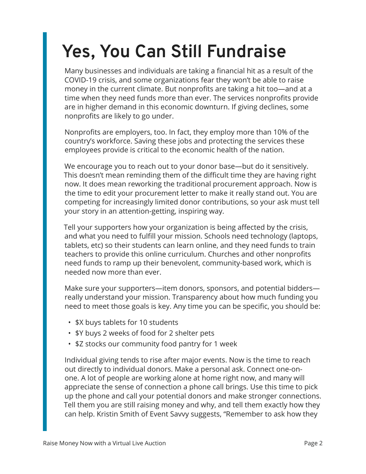## **Yes, You Can Still Fundraise**

Many businesses and individuals are taking a financial hit as a result of the COVID-19 crisis, and some organizations fear they won't be able to raise money in the current climate. But nonprofits are taking a hit too—and at a time when they need funds more than ever. The services nonprofits provide are in higher demand in this economic downturn. If giving declines, some nonprofits are likely to go under.

Nonprofits are employers, too. In fact, they employ more than 10% of the country's workforce. Saving these jobs and protecting the services these employees provide is critical to the economic health of the nation.

We encourage you to reach out to your donor base—but do it sensitively. This doesn't mean reminding them of the difficult time they are having right now. It does mean reworking the traditional procurement approach. Now is the time to edit your procurement letter to make it really stand out. You are competing for increasingly limited donor contributions, so your ask must tell your story in an attention-getting, inspiring way.

Tell your supporters how your organization is being affected by the crisis, and what you need to fulfill your mission. Schools need technology (laptops, tablets, etc) so their students can learn online, and they need funds to train teachers to provide this online curriculum. Churches and other nonprofits need funds to ramp up their benevolent, community-based work, which is needed now more than ever.

Make sure your supporters—item donors, sponsors, and potential bidders really understand your mission. Transparency about how much funding you need to meet those goals is key. Any time you can be specific, you should be:

- \$X buys tablets for 10 students
- \$Y buys 2 weeks of food for 2 shelter pets
- \$Z stocks our community food pantry for 1 week

Individual giving tends to rise after major events. Now is the time to reach out directly to individual donors. Make a personal ask. Connect one-onone. A lot of people are working alone at home right now, and many will appreciate the sense of connection a phone call brings. Use this time to pick up the phone and call your potential donors and make stronger connections. Tell them you are still raising money and why, and tell them exactly how they can help. Kristin Smith of Event Savvy suggests, "Remember to ask how they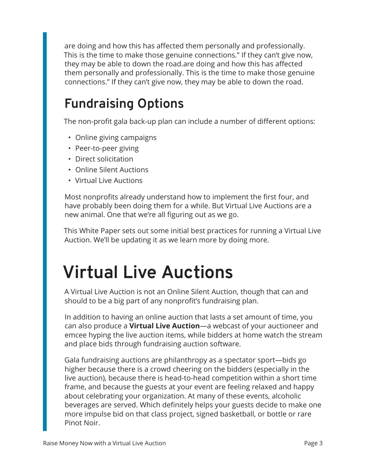are doing and how this has affected them personally and professionally. This is the time to make those genuine connections." If they can't give now, they may be able to down the road.are doing and how this has affected them personally and professionally. This is the time to make those genuine connections." If they can't give now, they may be able to down the road.

## **Fundraising Options**

The non-profit gala back-up plan can include a number of different options:

- Online giving campaigns
- Peer-to-peer giving
- Direct solicitation
- Online Silent Auctions
- Virtual Live Auctions

Most nonprofits already understand how to implement the first four, and have probably been doing them for a while. But Virtual Live Auctions are a new animal. One that we're all figuring out as we go.

This White Paper sets out some initial best practices for running a Virtual Live Auction. We'll be updating it as we learn more by doing more.

## **Virtual Live Auctions**

A Virtual Live Auction is not an Online Silent Auction, though that can and should to be a big part of any nonprofit's fundraising plan.

In addition to having an online auction that lasts a set amount of time, you can also produce a **Virtual Live Auction**—a webcast of your auctioneer and emcee hyping the live auction items, while bidders at home watch the stream and place bids through fundraising auction software.

Gala fundraising auctions are philanthropy as a spectator sport—bids go higher because there is a crowd cheering on the bidders (especially in the live auction), because there is head-to-head competition within a short time frame, and because the guests at your event are feeling relaxed and happy about celebrating your organization. At many of these events, alcoholic beverages are served. Which definitely helps your guests decide to make one more impulse bid on that class project, signed basketball, or bottle or rare Pinot Noir.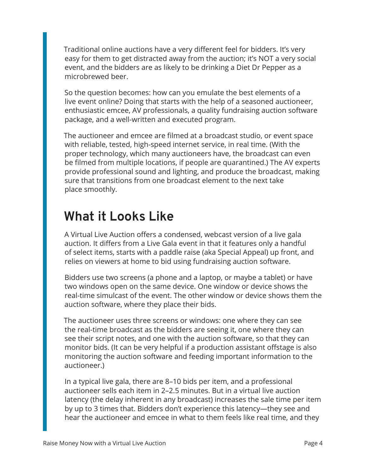Traditional online auctions have a very different feel for bidders. It's very easy for them to get distracted away from the auction; it's NOT a very social event, and the bidders are as likely to be drinking a Diet Dr Pepper as a microbrewed beer.

So the question becomes: how can you emulate the best elements of a live event online? Doing that starts with the help of a seasoned auctioneer, enthusiastic emcee, AV professionals, a quality fundraising auction software package, and a well-written and executed program.

The auctioneer and emcee are filmed at a broadcast studio, or event space with reliable, tested, high-speed internet service, in real time. (With the proper technology, which many auctioneers have, the broadcast can even be filmed from multiple locations, if people are quarantined.) The AV experts provide professional sound and lighting, and produce the broadcast, making sure that transitions from one broadcast element to the next take place smoothly.

## **What it Looks Like**

A Virtual Live Auction offers a condensed, webcast version of a live gala auction. It differs from a Live Gala event in that it features only a handful of select items, starts with a paddle raise (aka Special Appeal) up front, and relies on viewers at home to bid using fundraising auction software.

Bidders use two screens (a phone and a laptop, or maybe a tablet) or have two windows open on the same device. One window or device shows the real-time simulcast of the event. The other window or device shows them the auction software, where they place their bids.

The auctioneer uses three screens or windows: one where they can see the real-time broadcast as the bidders are seeing it, one where they can see their script notes, and one with the auction software, so that they can monitor bids. (It can be very helpful if a production assistant offstage is also monitoring the auction software and feeding important information to the auctioneer.)

In a typical live gala, there are 8–10 bids per item, and a professional auctioneer sells each item in 2–2.5 minutes. But in a virtual live auction latency (the delay inherent in any broadcast) increases the sale time per item by up to 3 times that. Bidders don't experience this latency—they see and hear the auctioneer and emcee in what to them feels like real time, and they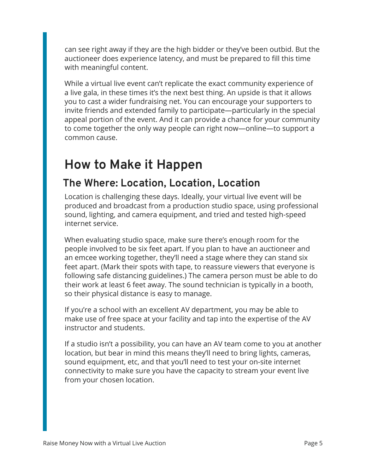can see right away if they are the high bidder or they've been outbid. But the auctioneer does experience latency, and must be prepared to fill this time with meaningful content.

While a virtual live event can't replicate the exact community experience of a live gala, in these times it's the next best thing. An upside is that it allows you to cast a wider fundraising net. You can encourage your supporters to invite friends and extended family to participate—particularly in the special appeal portion of the event. And it can provide a chance for your community to come together the only way people can right now—online—to support a common cause.

## **How to Make it Happen**

### **The Where: Location, Location, Location**

Location is challenging these days. Ideally, your virtual live event will be produced and broadcast from a production studio space, using professional sound, lighting, and camera equipment, and tried and tested high-speed internet service.

When evaluating studio space, make sure there's enough room for the people involved to be six feet apart. If you plan to have an auctioneer and an emcee working together, they'll need a stage where they can stand six feet apart. (Mark their spots with tape, to reassure viewers that everyone is following safe distancing guidelines.) The camera person must be able to do their work at least 6 feet away. The sound technician is typically in a booth, so their physical distance is easy to manage.

If you're a school with an excellent AV department, you may be able to make use of free space at your facility and tap into the expertise of the AV instructor and students.

If a studio isn't a possibility, you can have an AV team come to you at another location, but bear in mind this means they'll need to bring lights, cameras, sound equipment, etc, and that you'll need to test your on-site internet connectivity to make sure you have the capacity to stream your event live from your chosen location.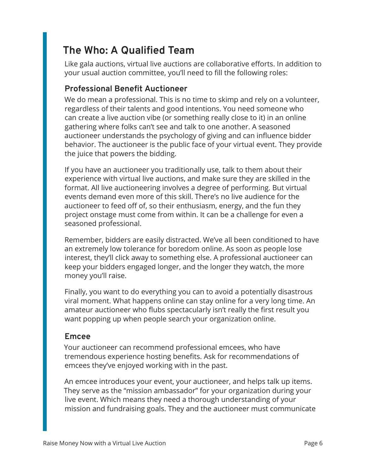## **The Who: A Qualified Team**

Like gala auctions, virtual live auctions are collaborative efforts. In addition to your usual auction committee, you'll need to fill the following roles:

#### **Professional Benefit Auctioneer**

We do mean a professional. This is no time to skimp and rely on a volunteer, regardless of their talents and good intentions. You need someone who can create a live auction vibe (or something really close to it) in an online gathering where folks can't see and talk to one another. A seasoned auctioneer understands the psychology of giving and can influence bidder behavior. The auctioneer is the public face of your virtual event. They provide the juice that powers the bidding.

If you have an auctioneer you traditionally use, talk to them about their experience with virtual live auctions, and make sure they are skilled in the format. All live auctioneering involves a degree of performing. But virtual events demand even more of this skill. There's no live audience for the auctioneer to feed off of, so their enthusiasm, energy, and the fun they project onstage must come from within. It can be a challenge for even a seasoned professional.

Remember, bidders are easily distracted. We've all been conditioned to have an extremely low tolerance for boredom online. As soon as people lose interest, they'll click away to something else. A professional auctioneer can keep your bidders engaged longer, and the longer they watch, the more money you'll raise.

Finally, you want to do everything you can to avoid a potentially disastrous viral moment. What happens online can stay online for a very long time. An amateur auctioneer who flubs spectacularly isn't really the first result you want popping up when people search your organization online.

#### **Emcee**

Your auctioneer can recommend professional emcees, who have tremendous experience hosting benefits. Ask for recommendations of emcees they've enjoyed working with in the past.

An emcee introduces your event, your auctioneer, and helps talk up items. They serve as the "mission ambassador" for your organization during your live event. Which means they need a thorough understanding of your mission and fundraising goals. They and the auctioneer must communicate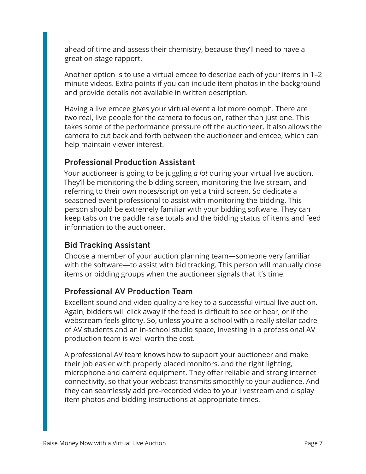ahead of time and assess their chemistry, because they'll need to have a great on-stage rapport.

Another option is to use a virtual emcee to describe each of your items in 1–2 minute videos. Extra points if you can include item photos in the background and provide details not available in written description.

Having a live emcee gives your virtual event a lot more oomph. There are two real, live people for the camera to focus on, rather than just one. This takes some of the performance pressure off the auctioneer. It also allows the camera to cut back and forth between the auctioneer and emcee, which can help maintain viewer interest.

#### **Professional Production Assistant**

Your auctioneer is going to be juggling *a lot* during your virtual live auction. They'll be monitoring the bidding screen, monitoring the live stream, and referring to their own notes/script on yet a third screen. So dedicate a seasoned event professional to assist with monitoring the bidding. This person should be extremely familiar with your bidding software. They can keep tabs on the paddle raise totals and the bidding status of items and feed information to the auctioneer.

#### **Bid Tracking Assistant**

Choose a member of your auction planning team—someone very familiar with the software—to assist with bid tracking. This person will manually close items or bidding groups when the auctioneer signals that it's time.

#### **Professional AV Production Team**

Excellent sound and video quality are key to a successful virtual live auction. Again, bidders will click away if the feed is difficult to see or hear, or if the webstream feels glitchy. So, unless you're a school with a really stellar cadre of AV students and an in-school studio space, investing in a professional AV production team is well worth the cost.

A professional AV team knows how to support your auctioneer and make their job easier with properly placed monitors, and the right lighting, microphone and camera equipment. They offer reliable and strong internet connectivity, so that your webcast transmits smoothly to your audience. And they can seamlessly add pre-recorded video to your livestream and display item photos and bidding instructions at appropriate times.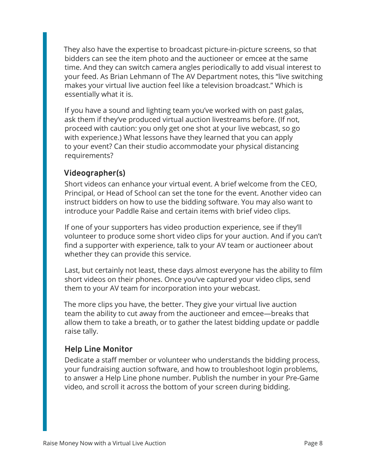They also have the expertise to broadcast picture-in-picture screens, so that bidders can see the item photo and the auctioneer or emcee at the same time. And they can switch camera angles periodically to add visual interest to your feed. As Brian Lehmann of The AV Department notes, this "live switching makes your virtual live auction feel like a television broadcast." Which is essentially what it is.

If you have a sound and lighting team you've worked with on past galas, ask them if they've produced virtual auction livestreams before. (If not, proceed with caution: you only get one shot at your live webcast, so go with experience.) What lessons have they learned that you can apply to your event? Can their studio accommodate your physical distancing requirements?

#### **Videographer(s)**

Short videos can enhance your virtual event. A brief welcome from the CEO, Principal, or Head of School can set the tone for the event. Another video can instruct bidders on how to use the bidding software. You may also want to introduce your Paddle Raise and certain items with brief video clips.

If one of your supporters has video production experience, see if they'll volunteer to produce some short video clips for your auction. And if you can't find a supporter with experience, talk to your AV team or auctioneer about whether they can provide this service.

Last, but certainly not least, these days almost everyone has the ability to film short videos on their phones. Once you've captured your video clips, send them to your AV team for incorporation into your webcast.

The more clips you have, the better. They give your virtual live auction team the ability to cut away from the auctioneer and emcee—breaks that allow them to take a breath, or to gather the latest bidding update or paddle raise tally.

#### **Help Line Monitor**

Dedicate a staff member or volunteer who understands the bidding process, your fundraising auction software, and how to troubleshoot login problems, to answer a Help Line phone number. Publish the number in your Pre-Game video, and scroll it across the bottom of your screen during bidding.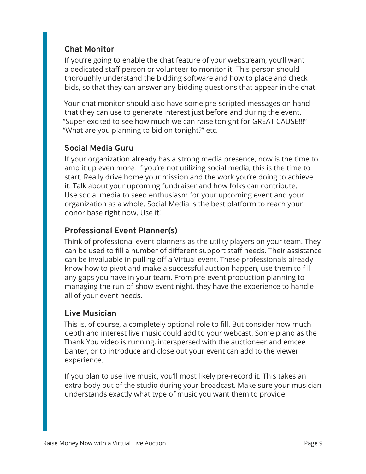#### **Chat Monitor**

If you're going to enable the chat feature of your webstream, you'll want a dedicated staff person or volunteer to monitor it. This person should thoroughly understand the bidding software and how to place and check bids, so that they can answer any bidding questions that appear in the chat.

Your chat monitor should also have some pre-scripted messages on hand that they can use to generate interest just before and during the event. "Super excited to see how much we can raise tonight for GREAT CAUSE!!!" "What are you planning to bid on tonight?" etc.

#### **Social Media Guru**

If your organization already has a strong media presence, now is the time to amp it up even more. If you're not utilizing social media, this is the time to start. Really drive home your mission and the work you're doing to achieve it. Talk about your upcoming fundraiser and how folks can contribute. Use social media to seed enthusiasm for your upcoming event and your organization as a whole. Social Media is the best platform to reach your donor base right now. Use it!

#### **Professional Event Planner(s)**

Think of professional event planners as the utility players on your team. They can be used to fill a number of different support staff needs. Their assistance can be invaluable in pulling off a Virtual event. These professionals already know how to pivot and make a successful auction happen, use them to fill any gaps you have in your team. From pre-event production planning to managing the run-of-show event night, they have the experience to handle all of your event needs.

#### **Live Musician**

This is, of course, a completely optional role to fill. But consider how much depth and interest live music could add to your webcast. Some piano as the Thank You video is running, interspersed with the auctioneer and emcee banter, or to introduce and close out your event can add to the viewer experience.

If you plan to use live music, you'll most likely pre-record it. This takes an extra body out of the studio during your broadcast. Make sure your musician understands exactly what type of music you want them to provide.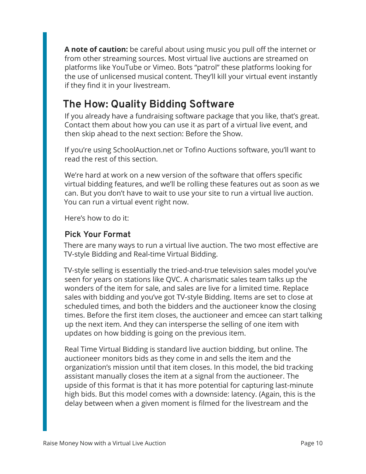**A note of caution:** be careful about using music you pull off the internet or from other streaming sources. Most virtual live auctions are streamed on platforms like YouTube or Vimeo. Bots "patrol" these platforms looking for the use of unlicensed musical content. They'll kill your virtual event instantly if they find it in your livestream.

### **The How: Quality Bidding Software**

If you already have a fundraising software package that you like, that's great. Contact them about how you can use it as part of a virtual live event, and then skip ahead to the next section: Before the Show.

If you're using SchoolAuction.net or Tofino Auctions software, you'll want to read the rest of this section.

We're hard at work on a new version of the software that offers specific virtual bidding features, and we'll be rolling these features out as soon as we can. But you don't have to wait to use your site to run a virtual live auction. You can run a virtual event right now.

Here's how to do it:

#### **Pick Your Format**

There are many ways to run a virtual live auction. The two most effective are TV-style Bidding and Real-time Virtual Bidding.

TV-style selling is essentially the tried-and-true television sales model you've seen for years on stations like QVC. A charismatic sales team talks up the wonders of the item for sale, and sales are live for a limited time. Replace sales with bidding and you've got TV-style Bidding. Items are set to close at scheduled times, and both the bidders and the auctioneer know the closing times. Before the first item closes, the auctioneer and emcee can start talking up the next item. And they can intersperse the selling of one item with updates on how bidding is going on the previous item.

Real Time Virtual Bidding is standard live auction bidding, but online. The auctioneer monitors bids as they come in and sells the item and the organization's mission until that item closes. In this model, the bid tracking assistant manually closes the item at a signal from the auctioneer. The upside of this format is that it has more potential for capturing last-minute high bids. But this model comes with a downside: latency. (Again, this is the delay between when a given moment is filmed for the livestream and the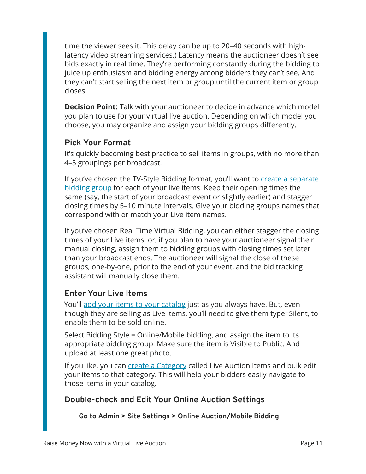time the viewer sees it. This delay can be up to 20–40 seconds with highlatency video streaming services.) Latency means the auctioneer doesn't see bids exactly in real time. They're performing constantly during the bidding to juice up enthusiasm and bidding energy among bidders they can't see. And they can't start selling the next item or group until the current item or group closes.

**Decision Point:** Talk with your auctioneer to decide in advance which model you plan to use for your virtual live auction. Depending on which model you choose, you may organize and assign your bidding groups differently.

#### **Pick Your Format**

It's quickly becoming best practice to sell items in groups, with no more than 4–5 groupings per broadcast.

If you've chosen the TV-Style Bidding format, you'll want to create a separate [bidding group](https://support.tofinoauctions.com/hc/en-us/articles/360034439831-New-Creating-and-Managing-Online-Bidding-Groups) for each of your live items. Keep their opening times the same (say, the start of your broadcast event or slightly earlier) and stagger closing times by 5–10 minute intervals. Give your bidding groups names that correspond with or match your Live item names.

If you've chosen Real Time Virtual Bidding, you can either stagger the closing times of your Live items, or, if you plan to have your auctioneer signal their manual closing, assign them to bidding groups with closing times set later than your broadcast ends. The auctioneer will signal the close of these groups, one-by-one, prior to the end of your event, and the bid tracking assistant will manually close them.

#### **Enter Your Live Items**

You'll [add your items to your catalog](http://https://support.tofinoauctions.com/hc/en-us/articles/205463145-Overview-Enter-Items) just as you always have. But, even though they are selling as Live items, you'll need to give them type=Silent, to enable them to be sold online.

Select Bidding Style = Online/Mobile bidding, and assign the item to its appropriate bidding group. Make sure the item is Visible to Public. And upload at least one great photo.

If you like, you can *create a Category* called Live Auction Items and bulk edit your items to that category. This will help your bidders easily navigate to those items in your catalog.

#### **Double-check and Edit Your Online Auction Settings**

**Go to Admin > Site Settings > Online Auction/Mobile Bidding**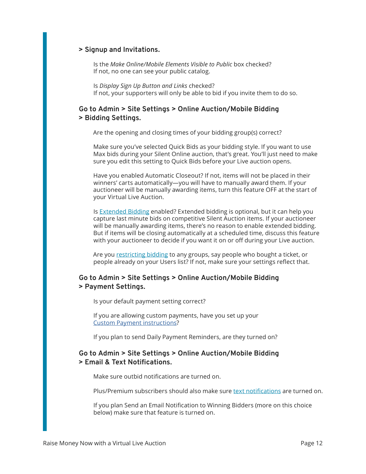#### **> Signup and Invitations.**

Is the *Make Online/Mobile Elements Visible to Public* box checked? If not, no one can see your public catalog.

Is *Display Sign Up Button and Links* checked? If not, your supporters will only be able to bid if you invite them to do so.

#### **Go to Admin > Site Settings > Online Auction/Mobile Bidding > Bidding Settings.**

Are the opening and closing times of your bidding group(s) correct?

Make sure you've selected Quick Bids as your bidding style. If you want to use Max bids during your Silent Online auction, that's great. You'll just need to make sure you edit this setting to Quick Bids before your Live auction opens.

Have you enabled Automatic Closeout? If not, items will not be placed in their winners' carts automatically—you will have to manually award them. If your auctioneer will be manually awarding items, turn this feature OFF at the start of your Virtual Live Auction.

Is [Extended Bidding](http://https://support.tofinoauctions.com/hc/en-us/articles/205720215-Extended-Bidding-Option-) enabled? Extended bidding is optional, but it can help you capture last minute bids on competitive Silent Auction items. If your auctioneer will be manually awarding items, there's no reason to enable extended bidding. But if items will be closing automatically at a scheduled time, discuss this feature with your auctioneer to decide if you want it on or off during your Live auction.

Are you [restricting bidding](https://support.tofinoauctions.com/hc/en-us/articles/205584805-Decision-Point-Do-you-need-to-restrict-access-to-the-web-catalog-) to any groups, say people who bought a ticket, or people already on your Users list? If not, make sure your settings reflect that.

#### **Go to Admin > Site Settings > Online Auction/Mobile Bidding > Payment Settings.**

Is your default payment setting correct?

If you are allowing custom payments, have you set up your [Custom Payment instructions](https://support.tofinoauctions.com/hc/en-us/articles/204927129-Creating-a-Custom-Payment-Type)?

If you plan to send Daily Payment Reminders, are they turned on?

#### **Go to Admin > Site Settings > Online Auction/Mobile Bidding > Email & Text Notifications.**

Make sure outbid notifications are turned on.

Plus/Premium subscribers should also make sure [text notifications](https://support.tofinoauctions.com/hc/en-us/articles/360037701272-SMS-Text-Outbid-Notifications-Plus-Premium-) are turned on.

If you plan Send an Email Notification to Winning Bidders (more on this choice below) make sure that feature is turned on.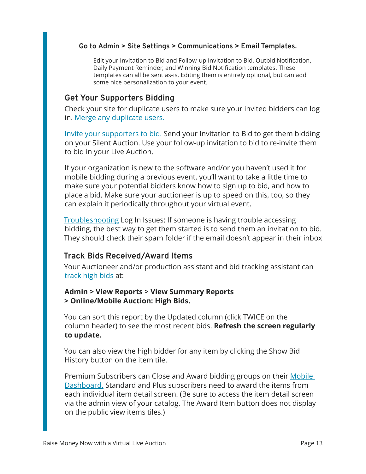#### **Go to Admin > Site Settings > Communications > Email Templates.**

Edit your Invitation to Bid and Follow-up Invitation to Bid, Outbid Notification, Daily Payment Reminder, and Winning Bid Notification templates. These templates can all be sent as-is. Editing them is entirely optional, but can add some nice personalization to your event.

#### **Get Your Supporters Bidding**

Check your site for duplicate users to make sure your invited bidders can log in. [Merge any duplicate users.](https://support.tofinoauctions.com/hc/en-us/articles/205032109-Merging-Duplicate-User-Records-Video)

[Invite your supporters to bid.](https://support.tofinoauctions.com/hc/en-us/articles/205604605-Emailing-Invitations-to-Bid) Send your Invitation to Bid to get them bidding on your Silent Auction. Use your follow-up invitation to bid to re-invite them to bid in your Live Auction.

If your organization is new to the software and/or you haven't used it for mobile bidding during a previous event, you'll want to take a little time to make sure your potential bidders know how to sign up to bid, and how to place a bid. Make sure your auctioneer is up to speed on this, too, so they can explain it periodically throughout your virtual event.

[Troubleshooting](https://support.tofinoauctions.com/hc/en-us/articles/115000053771-Troubleshooting-Login-Issues) Log In Issues: If someone is having trouble accessing bidding, the best way to get them started is to send them an invitation to bid. They should check their spam folder if the email doesn't appear in their inbox

#### **Track Bids Received/Award Items**

Your Auctioneer and/or production assistant and bid tracking assistant can [track high bids](https://support.tofinoauctions.com/hc/en-us/articles/205604765-Viewing-Bidding-Progress) at:

#### **Admin > View Reports > View Summary Reports > Online/Mobile Auction: High Bids.**

You can sort this report by the Updated column (click TWICE on the column header) to see the most recent bids. **Refresh the screen regularly to update.**

You can also view the high bidder for any item by clicking the Show Bid History button on the item tile.

Premium Subscribers can Close and Award bidding groups on their Mobile [Dashboard.](https://support.tofinoauctions.com/hc/en-us/articles/360034201992-New-Mobile-Dashboard-Premium-) Standard and Plus subscribers need to award the items from each individual item detail screen. (Be sure to access the item detail screen via the admin view of your catalog. The Award Item button does not display on the public view items tiles.)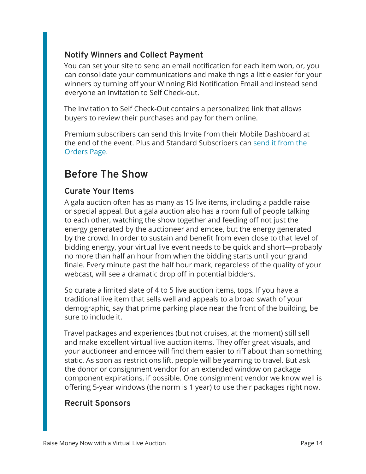#### **Notify Winners and Collect Payment**

You can set your site to send an email notification for each item won, or, you can consolidate your communications and make things a little easier for your winners by turning off your Winning Bid Notification Email and instead send everyone an Invitation to Self Check-out.

The Invitation to Self Check-Out contains a personalized link that allows buyers to review their purchases and pay for them online.

Premium subscribers can send this Invite from their Mobile Dashboard at the end of the event. Plus and Standard Subscribers can [send it from the](https://support.tofinoauctions.com/hc/en-us/articles/204927019-Using-Self-Check-Out-Feature-to-Collect-Payment-on-Orders-W-O-Vaulted-Cards-)  [Orders Page.](https://support.tofinoauctions.com/hc/en-us/articles/204927019-Using-Self-Check-Out-Feature-to-Collect-Payment-on-Orders-W-O-Vaulted-Cards-)

### **Before The Show**

#### **Curate Your Items**

A gala auction often has as many as 15 live items, including a paddle raise or special appeal. But a gala auction also has a room full of people talking to each other, watching the show together and feeding off not just the energy generated by the auctioneer and emcee, but the energy generated by the crowd. In order to sustain and benefit from even close to that level of bidding energy, your virtual live event needs to be quick and short—probably no more than half an hour from when the bidding starts until your grand finale. Every minute past the half hour mark, regardless of the quality of your webcast, will see a dramatic drop off in potential bidders.

So curate a limited slate of 4 to 5 live auction items, tops. If you have a traditional live item that sells well and appeals to a broad swath of your demographic, say that prime parking place near the front of the building, be sure to include it.

Travel packages and experiences (but not cruises, at the moment) still sell and make excellent virtual live auction items. They offer great visuals, and your auctioneer and emcee will find them easier to riff about than something static. As soon as restrictions lift, people will be yearning to travel. But ask the donor or consignment vendor for an extended window on package component expirations, if possible. One consignment vendor we know well is offering 5-year windows (the norm is 1 year) to use their packages right now.

#### **Recruit Sponsors**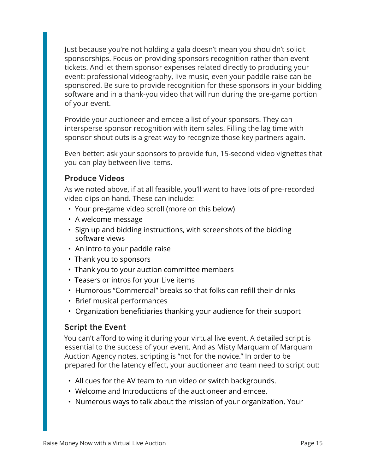Just because you're not holding a gala doesn't mean you shouldn't solicit sponsorships. Focus on providing sponsors recognition rather than event tickets. And let them sponsor expenses related directly to producing your event: professional videography, live music, even your paddle raise can be sponsored. Be sure to provide recognition for these sponsors in your bidding software and in a thank-you video that will run during the pre-game portion of your event.

Provide your auctioneer and emcee a list of your sponsors. They can intersperse sponsor recognition with item sales. Filling the lag time with sponsor shout outs is a great way to recognize those key partners again.

Even better: ask your sponsors to provide fun, 15-second video vignettes that you can play between live items.

#### **Produce Videos**

As we noted above, if at all feasible, you'll want to have lots of pre-recorded video clips on hand. These can include:

- Your pre-game video scroll (more on this below)
- A welcome message
- Sign up and bidding instructions, with screenshots of the bidding software views
- An intro to your paddle raise
- Thank you to sponsors
- Thank you to your auction committee members
- Teasers or intros for your Live items
- Humorous "Commercial" breaks so that folks can refill their drinks
- Brief musical performances
- Organization beneficiaries thanking your audience for their support

#### **Script the Event**

You can't afford to wing it during your virtual live event. A detailed script is essential to the success of your event. And as Misty Marquam of Marquam Auction Agency notes, scripting is "not for the novice." In order to be prepared for the latency effect, your auctioneer and team need to script out:

- All cues for the AV team to run video or switch backgrounds.
- Welcome and Introductions of the auctioneer and emcee.
- Numerous ways to talk about the mission of your organization. Your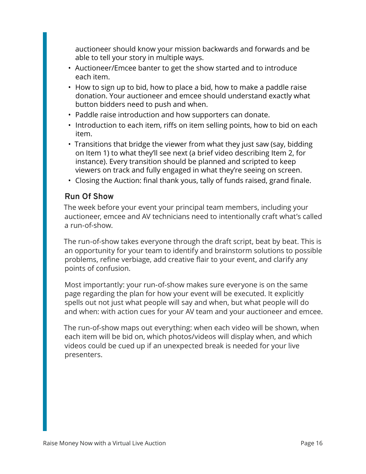auctioneer should know your mission backwards and forwards and be able to tell your story in multiple ways.

- Auctioneer/Emcee banter to get the show started and to introduce each item.
- How to sign up to bid, how to place a bid, how to make a paddle raise donation. Your auctioneer and emcee should understand exactly what button bidders need to push and when.
- Paddle raise introduction and how supporters can donate.
- Introduction to each item, riffs on item selling points, how to bid on each item.
- Transitions that bridge the viewer from what they just saw (say, bidding on Item 1) to what they'll see next (a brief video describing Item 2, for instance). Every transition should be planned and scripted to keep viewers on track and fully engaged in what they're seeing on screen.
- Closing the Auction: final thank yous, tally of funds raised, grand finale.

#### **Run Of Show**

The week before your event your principal team members, including your auctioneer, emcee and AV technicians need to intentionally craft what's called a run-of-show.

The run-of-show takes everyone through the draft script, beat by beat. This is an opportunity for your team to identify and brainstorm solutions to possible problems, refine verbiage, add creative flair to your event, and clarify any points of confusion.

Most importantly: your run-of-show makes sure everyone is on the same page regarding the plan for how your event will be executed. It explicitly spells out not just what people will say and when, but what people will do and when: with action cues for your AV team and your auctioneer and emcee.

The run-of-show maps out everything: when each video will be shown, when each item will be bid on, which photos/videos will display when, and which videos could be cued up if an unexpected break is needed for your live presenters.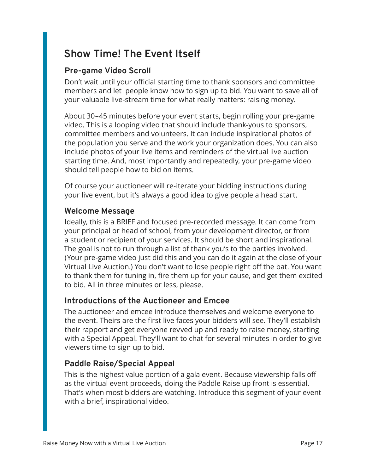### **Show Time! The Event Itself**

#### **Pre-game Video Scroll**

Don't wait until your official starting time to thank sponsors and committee members and let people know how to sign up to bid. You want to save all of your valuable live-stream time for what really matters: raising money.

About 30–45 minutes before your event starts, begin rolling your pre-game video. This is a looping video that should include thank-yous to sponsors, committee members and volunteers. It can include inspirational photos of the population you serve and the work your organization does. You can also include photos of your live items and reminders of the virtual live auction starting time. And, most importantly and repeatedly, your pre-game video should tell people how to bid on items.

Of course your auctioneer will re-iterate your bidding instructions during your live event, but it's always a good idea to give people a head start.

#### **Welcome Message**

Ideally, this is a BRIEF and focused pre-recorded message. It can come from your principal or head of school, from your development director, or from a student or recipient of your services. It should be short and inspirational. The goal is not to run through a list of thank you's to the parties involved. (Your pre-game video just did this and you can do it again at the close of your Virtual Live Auction.) You don't want to lose people right off the bat. You want to thank them for tuning in, fire them up for your cause, and get them excited to bid. All in three minutes or less, please.

#### **Introductions of the Auctioneer and Emcee**

The auctioneer and emcee introduce themselves and welcome everyone to the event. Theirs are the first live faces your bidders will see. They'll establish their rapport and get everyone revved up and ready to raise money, starting with a Special Appeal. They'll want to chat for several minutes in order to give viewers time to sign up to bid.

#### **Paddle Raise/Special Appeal**

This is the highest value portion of a gala event. Because viewership falls off as the virtual event proceeds, doing the Paddle Raise up front is essential. That's when most bidders are watching. Introduce this segment of your event with a brief, inspirational video.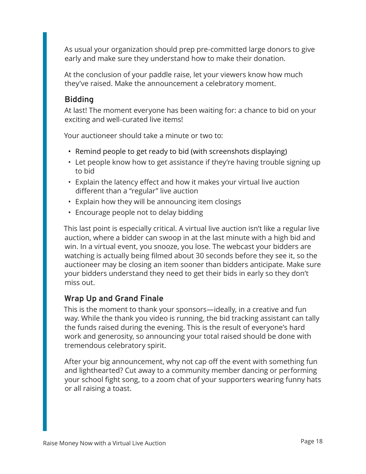As usual your organization should prep pre-committed large donors to give early and make sure they understand how to make their donation.

At the conclusion of your paddle raise, let your viewers know how much they've raised. Make the announcement a celebratory moment.

#### **Bidding**

At last! The moment everyone has been waiting for: a chance to bid on your exciting and well-curated live items!

Your auctioneer should take a minute or two to:

- Remind people to get ready to bid (with screenshots displaying)
- Let people know how to get assistance if they're having trouble signing up to bid
- Explain the latency effect and how it makes your virtual live auction different than a "regular" live auction
- Explain how they will be announcing item closings
- Encourage people not to delay bidding

This last point is especially critical. A virtual live auction isn't like a regular live auction, where a bidder can swoop in at the last minute with a high bid and win. In a virtual event, you snooze, you lose. The webcast your bidders are watching is actually being filmed about 30 seconds before they see it, so the auctioneer may be closing an item sooner than bidders anticipate. Make sure your bidders understand they need to get their bids in early so they don't miss out.

#### **Wrap Up and Grand Finale**

This is the moment to thank your sponsors—ideally, in a creative and fun way. While the thank you video is running, the bid tracking assistant can tally the funds raised during the evening. This is the result of everyone's hard work and generosity, so announcing your total raised should be done with tremendous celebratory spirit.

After your big announcement, why not cap off the event with something fun and lighthearted? Cut away to a community member dancing or performing your school fight song, to a zoom chat of your supporters wearing funny hats or all raising a toast.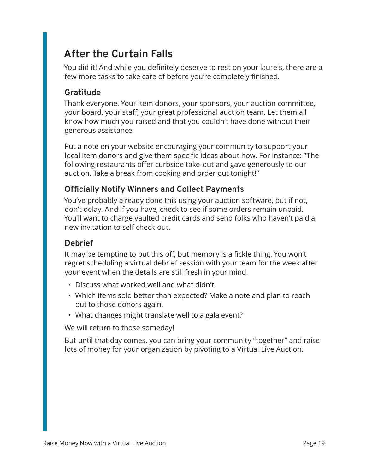### **After the Curtain Falls**

You did it! And while you definitely deserve to rest on your laurels, there are a few more tasks to take care of before you're completely finished.

#### **Gratitude**

Thank everyone. Your item donors, your sponsors, your auction committee, your board, your staff, your great professional auction team. Let them all know how much you raised and that you couldn't have done without their generous assistance.

Put a note on your website encouraging your community to support your local item donors and give them specific ideas about how. For instance: "The following restaurants offer curbside take-out and gave generously to our auction. Take a break from cooking and order out tonight!"

#### **Officially Notify Winners and Collect Payments**

You've probably already done this using your auction software, but if not, don't delay. And if you have, check to see if some orders remain unpaid. You'll want to charge vaulted credit cards and send folks who haven't paid a new invitation to self check-out.

#### **Debrief**

It may be tempting to put this off, but memory is a fickle thing. You won't regret scheduling a virtual debrief session with your team for the week after your event when the details are still fresh in your mind.

- Discuss what worked well and what didn't.
- Which items sold better than expected? Make a note and plan to reach out to those donors again.
- What changes might translate well to a gala event?

We will return to those someday!

But until that day comes, you can bring your community "together" and raise lots of money for your organization by pivoting to a Virtual Live Auction.